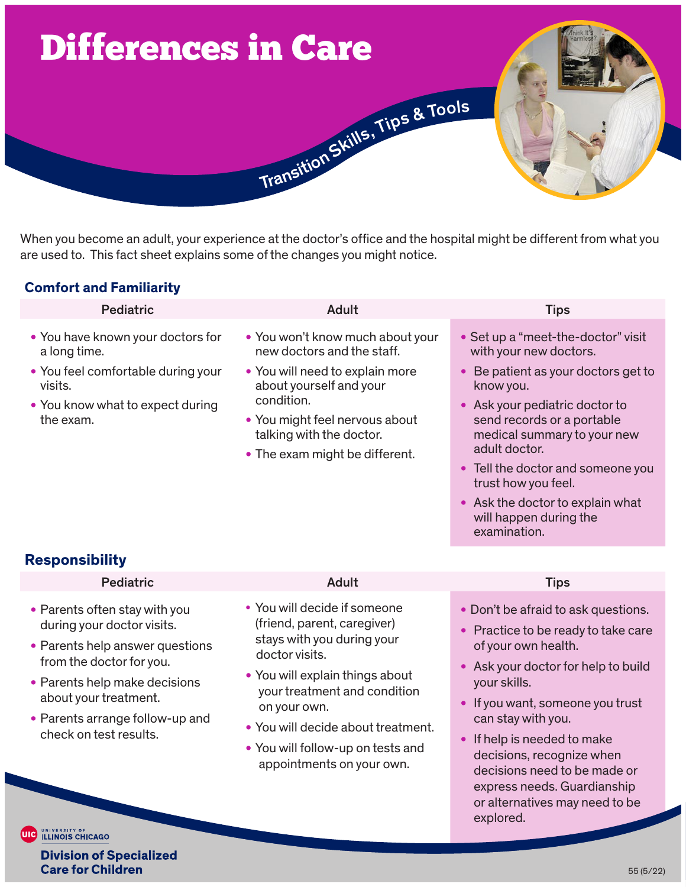

When you become an adult, your experience at the doctor's office and the hospital might be different from what you are used to. This fact sheet explains some of the changes you might notice.

# **Comfort and Familiarity**

| <b>Pediatric</b>                                                                                                                                    | <b>Adult</b>                                                                                                                                                                                                                               | <b>Tips</b>                                                                                                                                                                                                                                                                                                                    |
|-----------------------------------------------------------------------------------------------------------------------------------------------------|--------------------------------------------------------------------------------------------------------------------------------------------------------------------------------------------------------------------------------------------|--------------------------------------------------------------------------------------------------------------------------------------------------------------------------------------------------------------------------------------------------------------------------------------------------------------------------------|
| • You have known your doctors for<br>a long time.<br>• You feel comfortable during your<br>visits.<br>• You know what to expect during<br>the exam. | • You won't know much about your<br>new doctors and the staff.<br>• You will need to explain more<br>about yourself and your<br>condition.<br>• You might feel nervous about<br>talking with the doctor.<br>• The exam might be different. | • Set up a "meet-the-doctor" visit<br>with your new doctors.<br>Be patient as your doctors get to<br>know you.<br>• Ask your pediatric doctor to<br>send records or a portable<br>medical summary to your new<br>adult doctor.<br>• Tell the doctor and someone you<br>trust how you feel.<br>• Ask the doctor to explain what |
| <b>Responsibility</b><br><b>Pediatric</b>                                                                                                           | <b>Adult</b>                                                                                                                                                                                                                               | will happen during the<br>examination.<br><b>Tips</b>                                                                                                                                                                                                                                                                          |
| • Parents often stay with you<br>during your doctor visits.<br>• Parents help answer questions<br>from the doctor for you.                          | • You will decide if someone<br>(friend, parent, caregiver)<br>stays with you during your<br>doctor visits.                                                                                                                                | • Don't be afraid to ask questions.<br>• Practice to be ready to take care<br>of your own health.<br>• Ask your doctor for halp to build                                                                                                                                                                                       |

- Parents help make decisions about your treatment.
- Parents arrange follow-up and check on test results.
- You will explain things about your treatment and condition on your own.
- You will decide about treatment.
- You will follow-up on tests and appointments on your own.
- Ask your doctor for help to build your skills.
- If you want, someone you trust can stay with you.
- If help is needed to make decisions, recognize when decisions need to be made or express needs. Guardianship or alternatives may need to be explored.

**UIG ILLINOIS CHICAGO** 

**Division of Specialized Care for Children**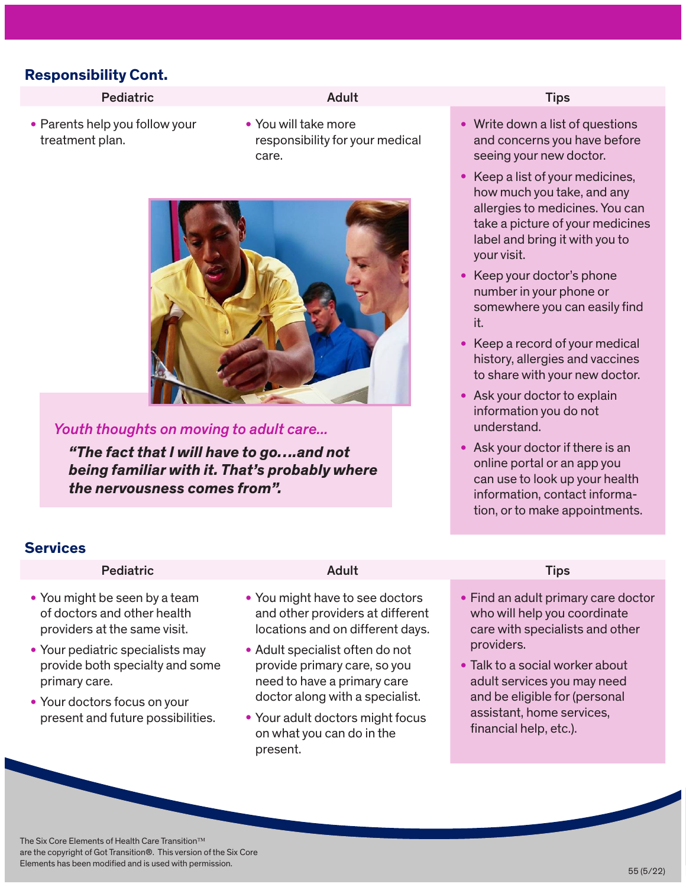## **Responsibility Cont.**

### Pediatric **Adult Adult Tips** Tips

• Parents help you follow your treatment plan.

• You will take more responsibility for your medical care.



### *Youth thoughts on moving to adult care...*

*"The fact that I will have to go….and not being familiar with it. That's probably where the nervousness comes from".* 

- Write down a list of questions and concerns you have before seeing your new doctor.
- Keep a list of your medicines, how much you take, and any allergies to medicines. You can take a picture of your medicines label and bring it with you to your visit.
- Keep your doctor's phone number in your phone or somewhere you can easily find it.
- Keep a record of your medical history, allergies and vaccines to share with your new doctor.
- Ask your doctor to explain information you do not understand.
- Ask your doctor if there is an online portal or an app you can use to look up your health information, contact information, or to make appointments.

# **Services**

### Pediatric **Adult Adult Tips** Tips

- You might be seen by a team of doctors and other health providers at the same visit.
- Your pediatric specialists may provide both specialty and some primary care.
- Your doctors focus on your present and future possibilities.

- You might have to see doctors and other providers at different locations and on different days.
- Adult specialist often do not provide primary care, so you need to have a primary care doctor along with a specialist.
- Your adult doctors might focus on what you can do in the present.

- Find an adult primary care doctor who will help you coordinate care with specialists and other providers.
- Talk to a social worker about adult services you may need and be eligible for (personal assistant, home services, financial help, etc.).

The Six Core Elements of Health Care Transition<sup>™</sup> are the copyright of Got Transition®. This version of the Six Core Elements has been modified and is used with permission.